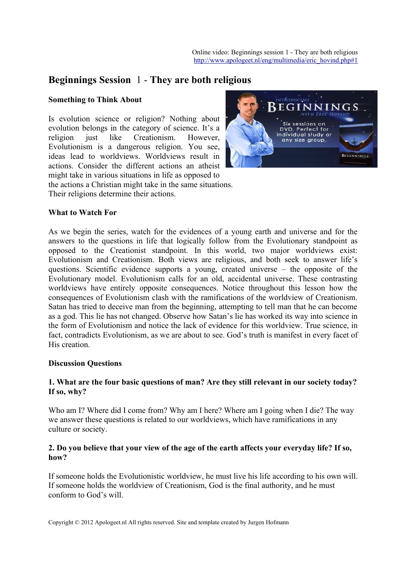# **Beginnings Session** 1 - **They are both religious**

### **Something to Think About**

Is evolution science or religion? Nothing about evolution belongs in the category of science. It's a religion just like Creationism. However, Evolutionism is a dangerous religion. You see, ideas lead to worldviews. Worldviews result in actions. Consider the different actions an atheist might take in various situations in life as opposed to

the actions a Christian might take in the same situations. Their religions determine their actions.



#### **What to Watch For**

As we begin the series, watch for the evidences of a young earth and universe and for the answers to the questions in life that logically follow from the Evolutionary standpoint as opposed to the Creationist standpoint. In this world, two major worldviews exist: Evolutionism and Creationism. Both views are religious, and both seek to answer life's questions. Scientific evidence supports a young, created universe – the opposite of the Evolutionary model. Evolutionism calls for an old, accidental universe. These contrasting worldviews have entirely opposite consequences. Notice throughout this lesson how the consequences of Evolutionism clash with the ramifications of the worldview of Creationism. Satan has tried to deceive man from the beginning, attempting to tell man that he can become as a god. This lie has not changed. Observe how Satan's lie has worked its way into science in the form of Evolutionism and notice the lack of evidence for this worldview. True science, in fact, contradicts Evolutionism, as we are about to see. God's truth is manifest in every facet of His creation.

#### **Discussion Questions**

#### **1. What are the four basic questions of man? Are they still relevant in our society today? If so, why?**

Who am I? Where did I come from? Why am I here? Where am I going when I die? The way we answer these questions is related to our worldviews, which have ramifications in any culture or society.

#### **2. Do you believe that your view of the age of the earth affects your everyday life? If so, how?**

If someone holds the Evolutionistic worldview, he must live his life according to his own will. If someone holds the worldview of Creationism, God is the final authority, and he must conform to God's will.